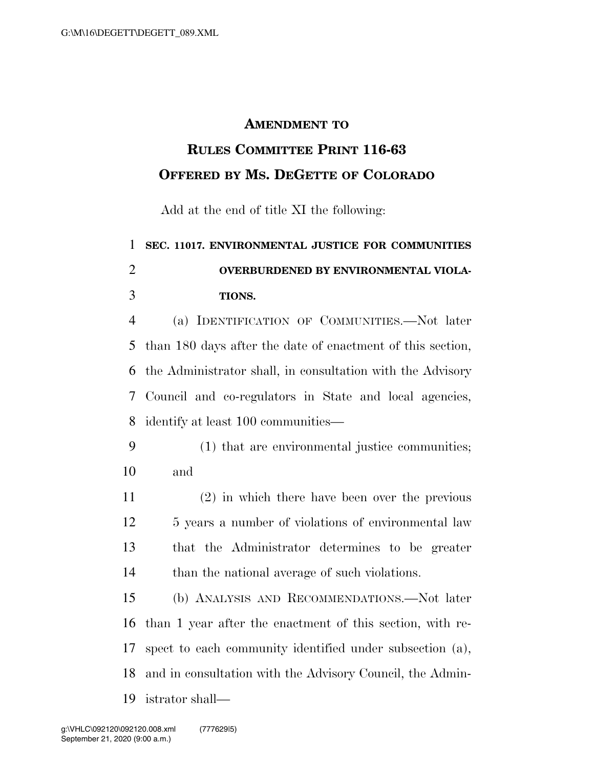## **AMENDMENT TO**

## **RULES COMMITTEE PRINT 116-63 OFFERED BY MS. DEGETTE OF COLORADO**

Add at the end of title XI the following:

## **SEC. 11017. ENVIRONMENTAL JUSTICE FOR COMMUNITIES OVERBURDENED BY ENVIRONMENTAL VIOLA-TIONS.**

 (a) IDENTIFICATION OF COMMUNITIES.—Not later than 180 days after the date of enactment of this section, the Administrator shall, in consultation with the Advisory Council and co-regulators in State and local agencies, identify at least 100 communities—

- (1) that are environmental justice communities; and
- (2) in which there have been over the previous 12 5 years a number of violations of environmental law that the Administrator determines to be greater 14 than the national average of such violations.

 (b) ANALYSIS AND RECOMMENDATIONS.—Not later than 1 year after the enactment of this section, with re- spect to each community identified under subsection (a), and in consultation with the Advisory Council, the Admin-istrator shall